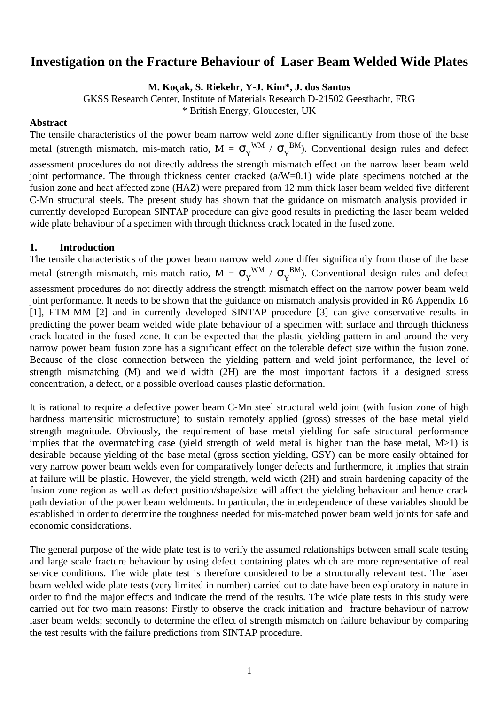# **Investigation on the Fracture Behaviour of Laser Beam Welded Wide Plates**

**M. Koçak, S. Riekehr, Y-J. Kim\*, J. dos Santos**

GKSS Research Center, Institute of Materials Research D-21502 Geesthacht, FRG

\* British Energy, Gloucester, UK

#### **Abstract**

The tensile characteristics of the power beam narrow weld zone differ significantly from those of the base metal (strength mismatch, mis-match ratio,  $M = \sigma_Y^{WM} / \sigma_Y^{BM}$ ). Conventional design rules and defect assessment procedures do not directly address the strength mismatch effect on the narrow laser beam weld joint performance. The through thickness center cracked (a/W=0.1) wide plate specimens notched at the fusion zone and heat affected zone (HAZ) were prepared from 12 mm thick laser beam welded five different C-Mn structural steels. The present study has shown that the guidance on mismatch analysis provided in currently developed European SINTAP procedure can give good results in predicting the laser beam welded wide plate behaviour of a specimen with through thickness crack located in the fused zone.

# **1. Introduction**

The tensile characteristics of the power beam narrow weld zone differ significantly from those of the base metal (strength mismatch, mis-match ratio,  $M = \sigma_Y^{WM} / \sigma_Y^{BM}$ ). Conventional design rules and defect assessment procedures do not directly address the strength mismatch effect on the narrow power beam weld joint performance. It needs to be shown that the guidance on mismatch analysis provided in R6 Appendix 16 [1], ETM-MM [2] and in currently developed SINTAP procedure [3] can give conservative results in predicting the power beam welded wide plate behaviour of a specimen with surface and through thickness crack located in the fused zone. It can be expected that the plastic yielding pattern in and around the very narrow power beam fusion zone has a significant effect on the tolerable defect size within the fusion zone. Because of the close connection between the yielding pattern and weld joint performance, the level of strength mismatching (M) and weld width (2H) are the most important factors if a designed stress concentration, a defect, or a possible overload causes plastic deformation.

It is rational to require a defective power beam C-Mn steel structural weld joint (with fusion zone of high hardness martensitic microstructure) to sustain remotely applied (gross) stresses of the base metal yield strength magnitude. Obviously, the requirement of base metal yielding for safe structural performance implies that the overmatching case (yield strength of weld metal is higher than the base metal, M>1) is desirable because yielding of the base metal (gross section yielding, GSY) can be more easily obtained for very narrow power beam welds even for comparatively longer defects and furthermore, it implies that strain at failure will be plastic. However, the yield strength, weld width (2H) and strain hardening capacity of the fusion zone region as well as defect position/shape/size will affect the yielding behaviour and hence crack path deviation of the power beam weldments. In particular, the interdependence of these variables should be established in order to determine the toughness needed for mis-matched power beam weld joints for safe and economic considerations.

The general purpose of the wide plate test is to verify the assumed relationships between small scale testing and large scale fracture behaviour by using defect containing plates which are more representative of real service conditions. The wide plate test is therefore considered to be a structurally relevant test. The laser beam welded wide plate tests (very limited in number) carried out to date have been exploratory in nature in order to find the major effects and indicate the trend of the results. The wide plate tests in this study were carried out for two main reasons: Firstly to observe the crack initiation and fracture behaviour of narrow laser beam welds; secondly to determine the effect of strength mismatch on failure behaviour by comparing the test results with the failure predictions from SINTAP procedure.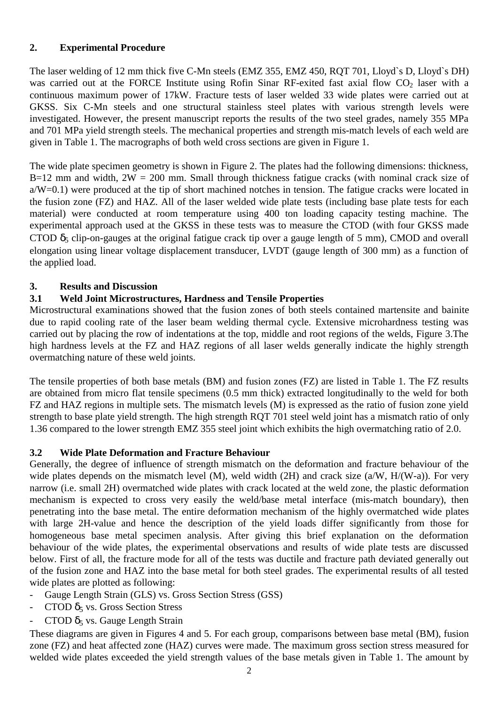# **2. Experimental Procedure**

The laser welding of 12 mm thick five C-Mn steels (EMZ 355, EMZ 450, RQT 701, Lloyd`s D, Lloyd`s DH) was carried out at the FORCE Institute using Rofin Sinar RF-exited fast axial flow  $CO<sub>2</sub>$  laser with a continuous maximum power of 17kW. Fracture tests of laser welded 33 wide plates were carried out at GKSS. Six C-Mn steels and one structural stainless steel plates with various strength levels were investigated. However, the present manuscript reports the results of the two steel grades, namely 355 MPa and 701 MPa yield strength steels. The mechanical properties and strength mis-match levels of each weld are given in Table 1. The macrographs of both weld cross sections are given in Figure 1.

The wide plate specimen geometry is shown in Figure 2. The plates had the following dimensions: thickness, B=12 mm and width,  $2W = 200$  mm. Small through thickness fatigue cracks (with nominal crack size of  $a/W=0.1$ ) were produced at the tip of short machined notches in tension. The fatigue cracks were located in the fusion zone (FZ) and HAZ. All of the laser welded wide plate tests (including base plate tests for each material) were conducted at room temperature using 400 ton loading capacity testing machine. The experimental approach used at the GKSS in these tests was to measure the CTOD (with four GKSS made CTOD  $\delta_5$  clip-on-gauges at the original fatigue crack tip over a gauge length of 5 mm), CMOD and overall elongation using linear voltage displacement transducer, LVDT (gauge length of 300 mm) as a function of the applied load.

# **3. Results and Discussion**

# **3.1 Weld Joint Microstructures, Hardness and Tensile Properties**

Microstructural examinations showed that the fusion zones of both steels contained martensite and bainite due to rapid cooling rate of the laser beam welding thermal cycle. Extensive microhardness testing was carried out by placing the row of indentations at the top, middle and root regions of the welds, Figure 3.The high hardness levels at the FZ and HAZ regions of all laser welds generally indicate the highly strength overmatching nature of these weld joints.

The tensile properties of both base metals (BM) and fusion zones (FZ) are listed in Table 1. The FZ results are obtained from micro flat tensile specimens (0.5 mm thick) extracted longitudinally to the weld for both FZ and HAZ regions in multiple sets. The mismatch levels (M) is expressed as the ratio of fusion zone yield strength to base plate yield strength. The high strength RQT 701 steel weld joint has a mismatch ratio of only 1.36 compared to the lower strength EMZ 355 steel joint which exhibits the high overmatching ratio of 2.0.

# **3.2 Wide Plate Deformation and Fracture Behaviour**

Generally, the degree of influence of strength mismatch on the deformation and fracture behaviour of the wide plates depends on the mismatch level (M), weld width (2H) and crack size (a/W, H/(W-a)). For very narrow (i.e. small 2H) overmatched wide plates with crack located at the weld zone, the plastic deformation mechanism is expected to cross very easily the weld/base metal interface (mis-match boundary), then penetrating into the base metal. The entire deformation mechanism of the highly overmatched wide plates with large 2H-value and hence the description of the yield loads differ significantly from those for homogeneous base metal specimen analysis. After giving this brief explanation on the deformation behaviour of the wide plates, the experimental observations and results of wide plate tests are discussed below. First of all, the fracture mode for all of the tests was ductile and fracture path deviated generally out of the fusion zone and HAZ into the base metal for both steel grades. The experimental results of all tested wide plates are plotted as following:

- Gauge Length Strain (GLS) vs. Gross Section Stress (GSS)
- CTOD  $\delta_5$  vs. Gross Section Stress
- CTOD  $\delta_5$  vs. Gauge Length Strain

These diagrams are given in Figures 4 and 5. For each group, comparisons between base metal (BM), fusion zone (FZ) and heat affected zone (HAZ) curves were made. The maximum gross section stress measured for welded wide plates exceeded the yield strength values of the base metals given in Table 1. The amount by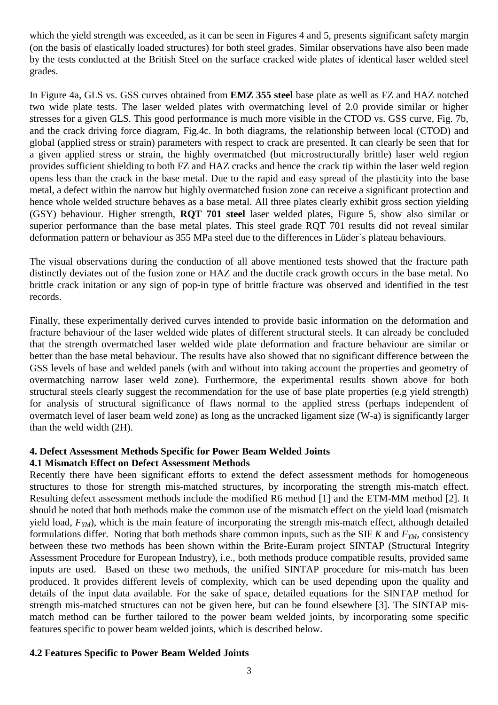which the yield strength was exceeded, as it can be seen in Figures 4 and 5, presents significant safety margin (on the basis of elastically loaded structures) for both steel grades. Similar observations have also been made by the tests conducted at the British Steel on the surface cracked wide plates of identical laser welded steel grades.

In Figure 4a, GLS vs. GSS curves obtained from **EMZ 355 steel** base plate as well as FZ and HAZ notched two wide plate tests. The laser welded plates with overmatching level of 2.0 provide similar or higher stresses for a given GLS. This good performance is much more visible in the CTOD vs. GSS curve, Fig. 7b, and the crack driving force diagram, Fig.4c. In both diagrams, the relationship between local (CTOD) and global (applied stress or strain) parameters with respect to crack are presented. It can clearly be seen that for a given applied stress or strain, the highly overmatched (but microstructurally brittle) laser weld region provides sufficient shielding to both FZ and HAZ cracks and hence the crack tip within the laser weld region opens less than the crack in the base metal. Due to the rapid and easy spread of the plasticity into the base metal, a defect within the narrow but highly overmatched fusion zone can receive a significant protection and hence whole welded structure behaves as a base metal. All three plates clearly exhibit gross section yielding (GSY) behaviour. Higher strength, **RQT 701 steel** laser welded plates, Figure 5, show also similar or superior performance than the base metal plates. This steel grade RQT 701 results did not reveal similar deformation pattern or behaviour as 355 MPa steel due to the differences in Lüder`s plateau behaviours.

The visual observations during the conduction of all above mentioned tests showed that the fracture path distinctly deviates out of the fusion zone or HAZ and the ductile crack growth occurs in the base metal. No brittle crack initation or any sign of pop-in type of brittle fracture was observed and identified in the test records.

Finally, these experimentally derived curves intended to provide basic information on the deformation and fracture behaviour of the laser welded wide plates of different structural steels. It can already be concluded that the strength overmatched laser welded wide plate deformation and fracture behaviour are similar or better than the base metal behaviour. The results have also showed that no significant difference between the GSS levels of base and welded panels (with and without into taking account the properties and geometry of overmatching narrow laser weld zone). Furthermore, the experimental results shown above for both structural steels clearly suggest the recommendation for the use of base plate properties (e.g yield strength) for analysis of structural significance of flaws normal to the applied stress (perhaps independent of overmatch level of laser beam weld zone) as long as the uncracked ligament size (W-a) is significantly larger than the weld width (2H).

#### **4. Defect Assessment Methods Specific for Power Beam Welded Joints 4.1 Mismatch Effect on Defect Assessment Methods**

Recently there have been significant efforts to extend the defect assessment methods for homogeneous structures to those for strength mis-matched structures, by incorporating the strength mis-match effect. Resulting defect assessment methods include the modified R6 method [1] and the ETM-MM method [2]. It should be noted that both methods make the common use of the mismatch effect on the yield load (mismatch yield load,  $F_{YM}$ ), which is the main feature of incorporating the strength mis-match effect, although detailed formulations differ. Noting that both methods share common inputs, such as the SIF  $K$  and  $F_{YM}$ , consistency between these two methods has been shown within the Brite-Euram project SINTAP (Structural Integrity Assessment Procedure for European Industry), i.e., both methods produce compatible results, provided same inputs are used. Based on these two methods, the unified SINTAP procedure for mis-match has been produced. It provides different levels of complexity, which can be used depending upon the quality and details of the input data available. For the sake of space, detailed equations for the SINTAP method for strength mis-matched structures can not be given here, but can be found elsewhere [3]. The SINTAP mismatch method can be further tailored to the power beam welded joints, by incorporating some specific features specific to power beam welded joints, which is described below.

# **4.2 Features Specific to Power Beam Welded Joints**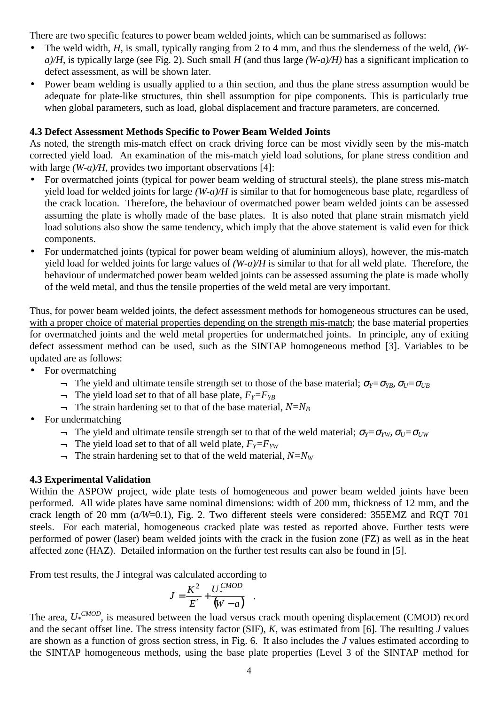There are two specific features to power beam welded joints, which can be summarised as follows:

- The weld width, *H*, is small, typically ranging from 2 to 4 mm, and thus the slenderness of the weld, *(Wa)/H*, is typically large (see Fig. 2). Such small *H* (and thus large *(W-a)/H)* has a significant implication to defect assessment, as will be shown later.
- Power beam welding is usually applied to a thin section, and thus the plane stress assumption would be adequate for plate-like structures, thin shell assumption for pipe components. This is particularly true when global parameters, such as load, global displacement and fracture parameters, are concerned.

#### **4.3 Defect Assessment Methods Specific to Power Beam Welded Joints**

As noted, the strength mis-match effect on crack driving force can be most vividly seen by the mis-match corrected yield load. An examination of the mis-match yield load solutions, for plane stress condition and with large *(W-a)/H*, provides two important observations [4]:

- For overmatched joints (typical for power beam welding of structural steels), the plane stress mis-match yield load for welded joints for large *(W-a)/H* is similar to that for homogeneous base plate, regardless of the crack location. Therefore, the behaviour of overmatched power beam welded joints can be assessed assuming the plate is wholly made of the base plates. It is also noted that plane strain mismatch yield load solutions also show the same tendency, which imply that the above statement is valid even for thick components.
- For undermatched joints (typical for power beam welding of aluminium alloys), however, the mis-match yield load for welded joints for large values of *(W-a)/H* is similar to that for all weld plate. Therefore, the behaviour of undermatched power beam welded joints can be assessed assuming the plate is made wholly of the weld metal, and thus the tensile properties of the weld metal are very important.

Thus, for power beam welded joints, the defect assessment methods for homogeneous structures can be used, with a proper choice of material properties depending on the strength mis-match; the base material properties for overmatched joints and the weld metal properties for undermatched joints. In principle, any of exiting defect assessment method can be used, such as the SINTAP homogeneous method [3]. Variables to be updated are as follows:

- For overmatching
	- $\rightarrow$  The yield and ultimate tensile strength set to those of the base material;  $\sigma_Y = \sigma_{YB}$ ,  $\sigma_U = \sigma_{UB}$
	- $\rightarrow$  The yield load set to that of all base plate,  $F_Y = F_{YB}$
	- $\Box$  The strain hardening set to that of the base material,  $N=N_B$
- For undermatching
	- $\rightarrow$  The vield and ultimate tensile strength set to that of the weld material; σ*γ*=σ*<sub><i>VW</sub>*, σ*<sub>U</sub>*=σ<sub>*UW*</sub></sub>
	- $\Box$  The yield load set to that of all weld plate,  $F_Y = F_{YW}$
	- $\Box$  The strain hardening set to that of the weld material,  $N=N_W$

#### **4.3 Experimental Validation**

Within the ASPOW project, wide plate tests of homogeneous and power beam welded joints have been performed. All wide plates have same nominal dimensions: width of 200 mm, thickness of 12 mm, and the crack length of 20 mm (*a/W*=0.1), Fig. 2. Two different steels were considered: 355EMZ and RQT 701 steels. For each material, homogeneous cracked plate was tested as reported above. Further tests were performed of power (laser) beam welded joints with the crack in the fusion zone (FZ) as well as in the heat affected zone (HAZ). Detailed information on the further test results can also be found in [5].

From test results, the J integral was calculated according to

$$
J = \frac{K^2}{E'} + \frac{U_*^{CMOD}}{(W-a)} .
$$

The area, *U\* CMOD*, is measured between the load versus crack mouth opening displacement (CMOD) record and the secant offset line. The stress intensity factor (SIF), *K*, was estimated from [6]. The resulting *J* values are shown as a function of gross section stress, in Fig. 6. It also includes the *J* values estimated according to the SINTAP homogeneous methods, using the base plate properties (Level 3 of the SINTAP method for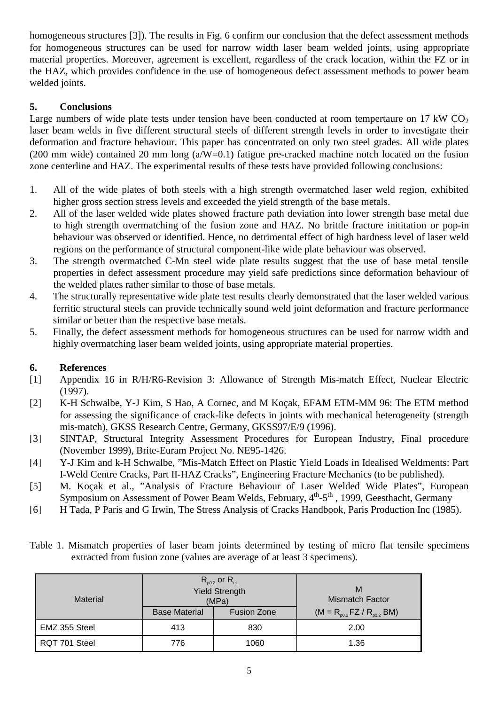homogeneous structures [3]). The results in Fig. 6 confirm our conclusion that the defect assessment methods for homogeneous structures can be used for narrow width laser beam welded joints, using appropriate material properties. Moreover, agreement is excellent, regardless of the crack location, within the FZ or in the HAZ, which provides confidence in the use of homogeneous defect assessment methods to power beam welded joints.

# **5. Conclusions**

Large numbers of wide plate tests under tension have been conducted at room tempertaure on 17 kW  $CO<sub>2</sub>$ laser beam welds in five different structural steels of different strength levels in order to investigate their deformation and fracture behaviour. This paper has concentrated on only two steel grades. All wide plates (200 mm wide) contained 20 mm long  $(a/W=0.1)$  fatigue pre-cracked machine notch located on the fusion zone centerline and HAZ. The experimental results of these tests have provided following conclusions:

- 1. All of the wide plates of both steels with a high strength overmatched laser weld region, exhibited higher gross section stress levels and exceeded the yield strength of the base metals.
- 2. All of the laser welded wide plates showed fracture path deviation into lower strength base metal due to high strength overmatching of the fusion zone and HAZ. No brittle fracture inititation or pop-in behaviour was observed or identified. Hence, no detrimental effect of high hardness level of laser weld regions on the performance of structural component-like wide plate behaviour was observed.
- 3. The strength overmatched C-Mn steel wide plate results suggest that the use of base metal tensile properties in defect assessment procedure may yield safe predictions since deformation behaviour of the welded plates rather similar to those of base metals.
- 4. The structurally representative wide plate test results clearly demonstrated that the laser welded various ferritic structural steels can provide technically sound weld joint deformation and fracture performance similar or better than the respective base metals.
- 5. Finally, the defect assessment methods for homogeneous structures can be used for narrow width and highly overmatching laser beam welded joints, using appropriate material properties.

# **6. References**

- [1] Appendix 16 in R/H/R6-Revision 3: Allowance of Strength Mis-match Effect, Nuclear Electric (1997).
- [2] K-H Schwalbe, Y-J Kim, S Hao, A Cornec, and M Koçak, EFAM ETM-MM 96: The ETM method for assessing the significance of crack-like defects in joints with mechanical heterogeneity (strength mis-match), GKSS Research Centre, Germany, GKSS97/E/9 (1996).
- [3] SINTAP, Structural Integrity Assessment Procedures for European Industry, Final procedure (November 1999), Brite-Euram Project No. NE95-1426.
- [4] Y-J Kim and k-H Schwalbe, "Mis-Match Effect on Plastic Yield Loads in Idealised Weldments: Part I-Weld Centre Cracks, Part II-HAZ Cracks", Engineering Fracture Mechanics (to be published).
- [5] M. Koçak et al., "Analysis of Fracture Behaviour of Laser Welded Wide Plates", European Symposium on Assessment of Power Beam Welds, February, 4<sup>th</sup>-5<sup>th</sup>, 1999, Geesthacht, Germany
- [6] H Tada, P Paris and G Irwin, The Stress Analysis of Cracks Handbook, Paris Production Inc (1985).

|  |  |  | Table 1. Mismatch properties of laser beam joints determined by testing of micro flat tensile specimens |  |  |  |  |
|--|--|--|---------------------------------------------------------------------------------------------------------|--|--|--|--|
|  |  |  | extracted from fusion zone (values are average of at least 3 specimens).                                |  |  |  |  |

| Material      |                      | $R_{p0.2}$ or $R_{el}$<br><b>Yield Strength</b><br>(MPa) | M<br><b>Mismatch Factor</b>       |  |  |  |  |
|---------------|----------------------|----------------------------------------------------------|-----------------------------------|--|--|--|--|
|               | <b>Base Material</b> | <b>Fusion Zone</b>                                       | $(M = R_{p0.2} FZ / R_{p0.2} BM)$ |  |  |  |  |
| EMZ 355 Steel | 413                  | 830                                                      | 2.00                              |  |  |  |  |
| RQT 701 Steel | 776                  | 1060                                                     | 1.36                              |  |  |  |  |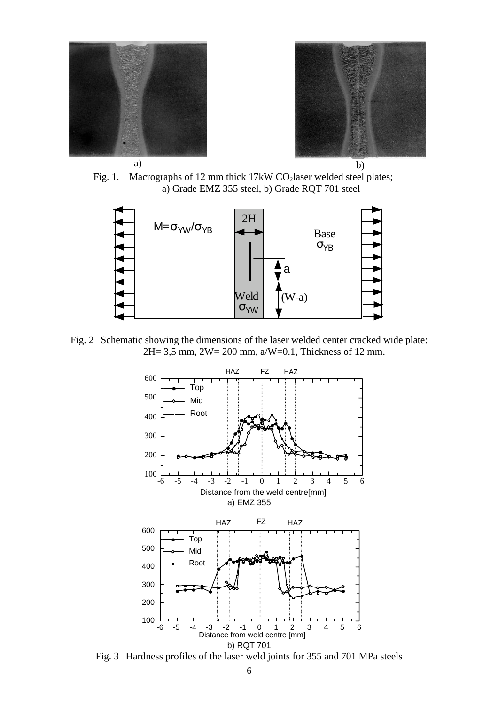



Fig. 1. Macrographs of 12 mm thick 17kW CO<sub>2</sub>laser welded steel plates; a) Grade EMZ 355 steel, b) Grade RQT 701 steel



Fig. 2 Schematic showing the dimensions of the laser welded center cracked wide plate: 2H= 3,5 mm, 2W= 200 mm, a/W=0.1, Thickness of 12 mm.



Fig. 3 Hardness profiles of the laser weld joints for 355 and 701 MPa steels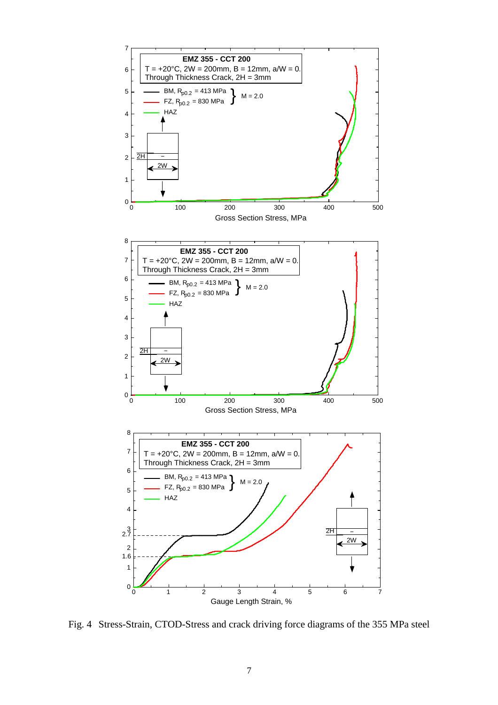

Fig. 4 Stress-Strain, CTOD-Stress and crack driving force diagrams of the 355 MPa steel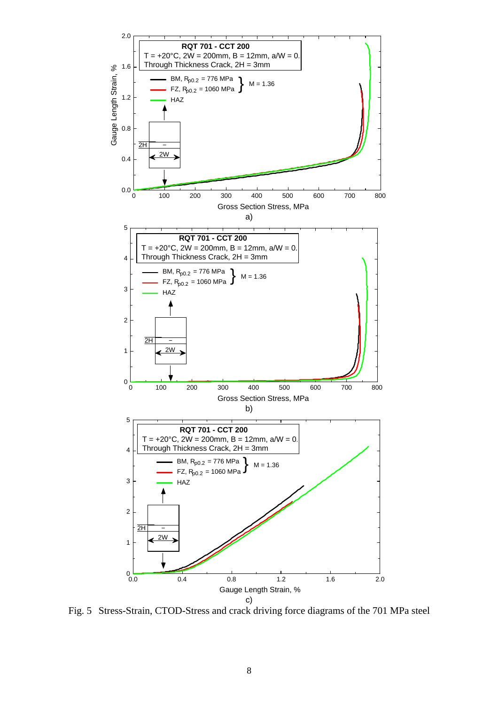

Fig. 5 Stress-Strain, CTOD-Stress and crack driving force diagrams of the 701 MPa steel